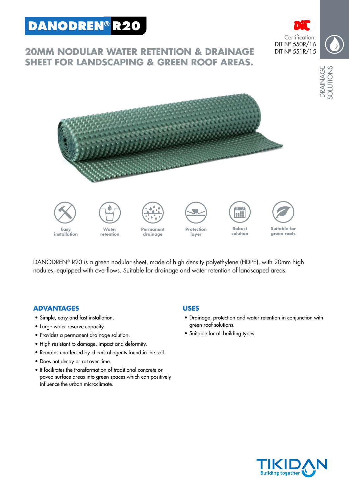# **DANODREN® R20**



## **20MM NODULAR WATER RETENTION & DRAINAGE SHEET FOR LANDSCAPING & GREEN ROOF AREAS.**



DANODREN® R20 is a green nodular sheet, made of high density polyethylene (HDPE), with 20mm high nodules, equipped with overflows. Suitable for drainage and water retention of landscaped areas.

### **ADVANTAGES**

- Simple, easy and fast installation.
- Large water reserve capacity.
- Provides a permanent drainage solution.
- High resistant to damage, impact and deformity.
- Remains unaffected by chemical agents found in the soil.
- Does not decay or rot over time.
- It facilitates the transformation of traditional concrete or paved surface areas into green spaces which can positively influence the urban microclimate.

#### **USES**

- Drainage, protection and water retention in conjunction with green roof solutions.
- Suitable for all building types.